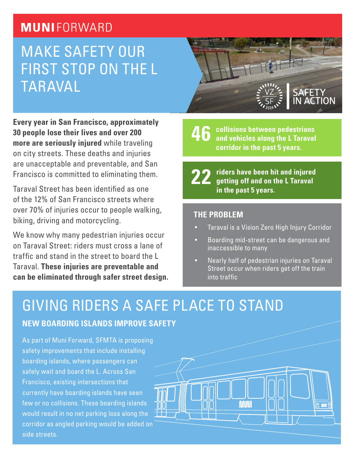## **MUNIFORWARD**

# MAKE SAFETY OUR FIRST STOP ON THE L TARAVAL

**Every year in San Francisco, approximately 30 people lose their lives and over 200 more are seriously injured** while traveling on city streets. These deaths and injuries are unacceptable and preventable, and San Francisco is committed to eliminating them.

Taraval Street has been identified as one of the 12% of San Francisco streets where over 70% of injuries occur to people walking, biking, driving and motorcycling.

We know why many pedestrian injuries occur on Taraval Street: riders must cross a lane of traffic and stand in the street to board the L Taraval. **These injuries are preventable and can be eliminated through safer street design.** 

**collisions between pedestrians and vehicles along the L Taraval corridor in the past 5 years. 46**

**22**

**riders have been hit and injured getting off and on the L Taraval in the past 5 years.**

#### **THE PROBLEM**

- Taraval is a Vision Zero High Injury Corridor
- Boarding mid-street can be dangerous and inaccessible to many
- Nearly half of pedestrian injuries on Taraval Street occur when riders get off the train into traffic

**MUNI** 

# GIVING RIDERS A SAFE PLACE TO STAND

#### **NEW BOARDING ISLANDS IMPROVE SAFETY**

As part of Muni Forward, SFMTA is proposing safety improvements that include installing boarding islands, where passengers can safely wait and board the L. Across San Francisco, existing intersections that currently have boarding islands have seen few or no collisions. These boarding islands would result in no net parking loss along the corridor as angled parking would be added on side streets.